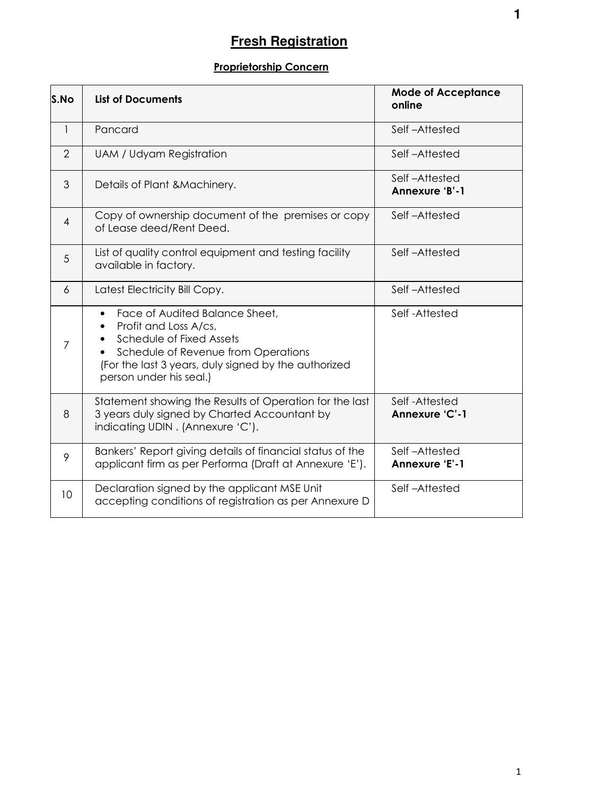# **Fresh Registration**

# **Proprietorship Concern**

| S.No           | <b>List of Documents</b>                                                                                                                                                                                                                | <b>Mode of Acceptance</b><br>online |
|----------------|-----------------------------------------------------------------------------------------------------------------------------------------------------------------------------------------------------------------------------------------|-------------------------------------|
| $\mathbf{1}$   | Pancard                                                                                                                                                                                                                                 | Self-Attested                       |
| $\overline{2}$ | <b>UAM / Udyam Registration</b>                                                                                                                                                                                                         | Self-Attested                       |
| 3              | Details of Plant & Machinery.                                                                                                                                                                                                           | Self-Attested<br>Annexure 'B'-1     |
| $\overline{4}$ | Copy of ownership document of the premises or copy<br>of Lease deed/Rent Deed.                                                                                                                                                          | Self-Attested                       |
| 5              | List of quality control equipment and testing facility<br>available in factory.                                                                                                                                                         | Self-Attested                       |
| 6              | Latest Electricity Bill Copy.                                                                                                                                                                                                           | Self-Attested                       |
| 7              | Face of Audited Balance Sheet,<br>$\bullet$<br>Profit and Loss A/cs,<br>$\bullet$<br>Schedule of Fixed Assets<br>Schedule of Revenue from Operations<br>(For the last 3 years, duly signed by the authorized<br>person under his seal.) | Self-Attested                       |
| 8              | Statement showing the Results of Operation for the last<br>3 years duly signed by Charted Accountant by<br>indicating UDIN. (Annexure 'C').                                                                                             | Self-Attested<br>Annexure 'C'-1     |
| 9              | Bankers' Report giving details of financial status of the<br>applicant firm as per Performa (Draft at Annexure 'E').                                                                                                                    | Self-Attested<br>Annexure 'E'-1     |
| 10             | Declaration signed by the applicant MSE Unit<br>accepting conditions of registration as per Annexure D                                                                                                                                  | Self-Attested                       |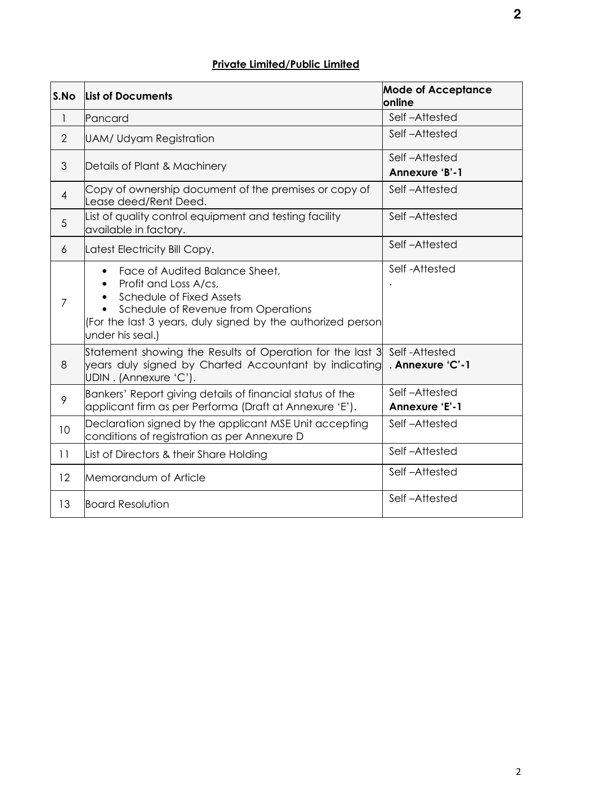# **Private Limited/Public Limited**

| S.No           | <b>List of Documents</b>                                                                                                                                                                                      | <b>Mode of Acceptance</b><br>online |  |
|----------------|---------------------------------------------------------------------------------------------------------------------------------------------------------------------------------------------------------------|-------------------------------------|--|
| $\mathbf{1}$   | Pancard                                                                                                                                                                                                       | Self-Attested                       |  |
| $\overline{2}$ | <b>UAM/ Udyam Registration</b>                                                                                                                                                                                | Self-Attested                       |  |
| 3              | Details of Plant & Machinery                                                                                                                                                                                  | Self-Attested<br>Annexure 'B'-1     |  |
| $\overline{4}$ | Copy of ownership document of the premises or copy of<br>Lease deed/Rent Deed.                                                                                                                                | Self-Attested                       |  |
| 5              | List of quality control equipment and testing facility<br>available in factory.                                                                                                                               | Self-Attested                       |  |
| 6              | Latest Electricity Bill Copy.                                                                                                                                                                                 | Self-Attested                       |  |
| $\overline{7}$ | Face of Audited Balance Sheet,<br>Profit and Loss A/cs,<br>Schedule of Fixed Assets<br>Schedule of Revenue from Operations<br>(For the last 3 years, duly signed by the authorized person<br>under his seal.) | Self-Attested                       |  |
| 8              | Statement showing the Results of Operation for the last 3<br>years duly signed by Charted Accountant by indicating<br>UDIN. (Annexure 'C').                                                                   | Self-Attested<br>. Annexure 'C'-1   |  |
| 9              | Bankers' Report giving details of financial status of the<br>applicant firm as per Performa (Draft at Annexure 'E').                                                                                          | Self-Attested<br>Annexure 'E'-1     |  |
| 10             | Declaration signed by the applicant MSE Unit accepting<br>conditions of registration as per Annexure D                                                                                                        | Self-Attested                       |  |
| 11             | List of Directors & their Share Holding                                                                                                                                                                       | Self-Attested                       |  |
| 12             | Memorandum of Article                                                                                                                                                                                         | Self-Attested                       |  |
| 13             | <b>Board Resolution</b>                                                                                                                                                                                       | Self-Attested                       |  |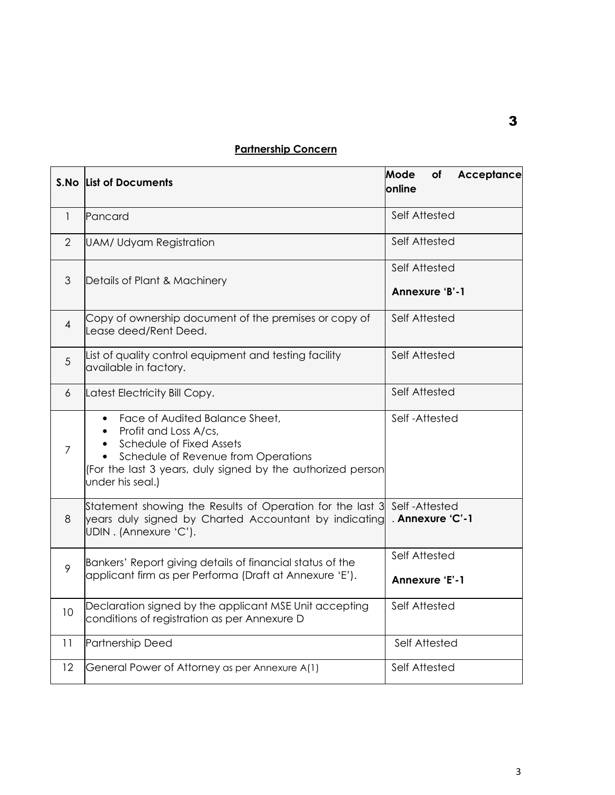# **Partnership Concern**

|                | <b>S.No List of Documents</b>                                                                                                                                                                                 | Mode<br>Acceptance<br>of<br>online     |
|----------------|---------------------------------------------------------------------------------------------------------------------------------------------------------------------------------------------------------------|----------------------------------------|
| $\mathbf{1}$   | Pancard                                                                                                                                                                                                       | Self Attested                          |
| $\overline{2}$ | <b>UAM/ Udyam Registration</b>                                                                                                                                                                                | Self Attested                          |
| 3              | Details of Plant & Machinery                                                                                                                                                                                  | Self Attested<br>Annexure 'B'-1        |
| $\overline{4}$ | Copy of ownership document of the premises or copy of<br>Lease deed/Rent Deed.                                                                                                                                | Self Attested                          |
| 5              | List of quality control equipment and testing facility<br>available in factory.                                                                                                                               | Self Attested                          |
| 6              | Latest Electricity Bill Copy.                                                                                                                                                                                 | Self Attested                          |
| $\overline{7}$ | Face of Audited Balance Sheet,<br>Profit and Loss A/cs,<br>Schedule of Fixed Assets<br>Schedule of Revenue from Operations<br>(For the last 3 years, duly signed by the authorized person<br>under his seal.) | Self-Attested                          |
| 8              | Statement showing the Results of Operation for the last 3<br>years duly signed by Charted Accountant by indicating<br>UDIN. (Annexure 'C').                                                                   | Self-Attested<br>. Annexure 'C'-1      |
| 9              | Bankers' Report giving details of financial status of the<br>applicant firm as per Performa (Draft at Annexure 'E').                                                                                          | Self Attested<br><b>Annexure 'E'-1</b> |
| 10             | Declaration signed by the applicant MSE Unit accepting<br>conditions of registration as per Annexure D                                                                                                        | Self Attested                          |
| 11             | Partnership Deed                                                                                                                                                                                              | Self Attested                          |
| 12             | General Power of Attorney as per Annexure A(1)                                                                                                                                                                | Self Attested                          |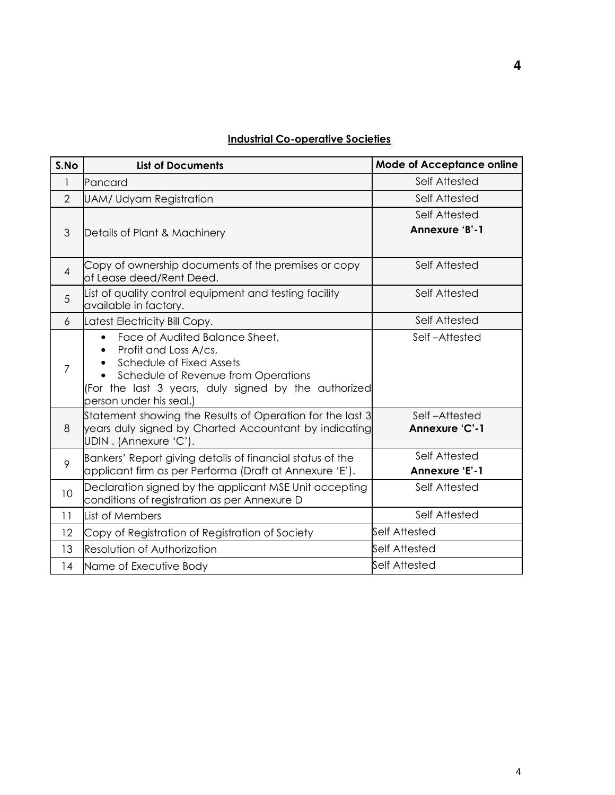# **Industrial Co-operative Societies**

| S.No           | <b>List of Documents</b>                                                                                                                                                                                                   | <b>Mode of Acceptance online</b>       |
|----------------|----------------------------------------------------------------------------------------------------------------------------------------------------------------------------------------------------------------------------|----------------------------------------|
| 1              | Pancard                                                                                                                                                                                                                    | Self Attested                          |
| $\overline{2}$ | UAM/ Udyam Registration                                                                                                                                                                                                    | Self Attested                          |
| 3              | Details of Plant & Machinery                                                                                                                                                                                               | Self Attested<br>Annexure 'B'-1        |
| $\overline{4}$ | Copy of ownership documents of the premises or copy<br>of Lease deed/Rent Deed.                                                                                                                                            | Self Attested                          |
| 5              | List of quality control equipment and testing facility<br>available in factory.                                                                                                                                            | Self Attested                          |
| 6              | Latest Electricity Bill Copy.                                                                                                                                                                                              | Self Attested                          |
| 7              | Face of Audited Balance Sheet,<br>$\bullet$<br>Profit and Loss A/cs,<br>Schedule of Fixed Assets<br>Schedule of Revenue from Operations<br>(For the last 3 years, duly signed by the authorized<br>person under his seal.) | Self-Attested                          |
| 8              | Statement showing the Results of Operation for the last 3<br>years duly signed by Charted Accountant by indicating<br>UDIN. (Annexure 'C').                                                                                | Self-Attested<br>Annexure 'C'-1        |
| 9              | Bankers' Report giving details of financial status of the<br>applicant firm as per Performa (Draft at Annexure 'E').                                                                                                       | Self Attested<br><b>Annexure 'E'-1</b> |
| 10             | Declaration signed by the applicant MSE Unit accepting<br>conditions of registration as per Annexure D                                                                                                                     | Self Attested                          |
| 11             | List of Members                                                                                                                                                                                                            | Self Attested                          |
| 12             | Copy of Registration of Registration of Society                                                                                                                                                                            | Self Attested                          |
| 13             | Resolution of Authorization                                                                                                                                                                                                | Self Attested                          |
| 14             | Name of Executive Body                                                                                                                                                                                                     | <b>Self Attested</b>                   |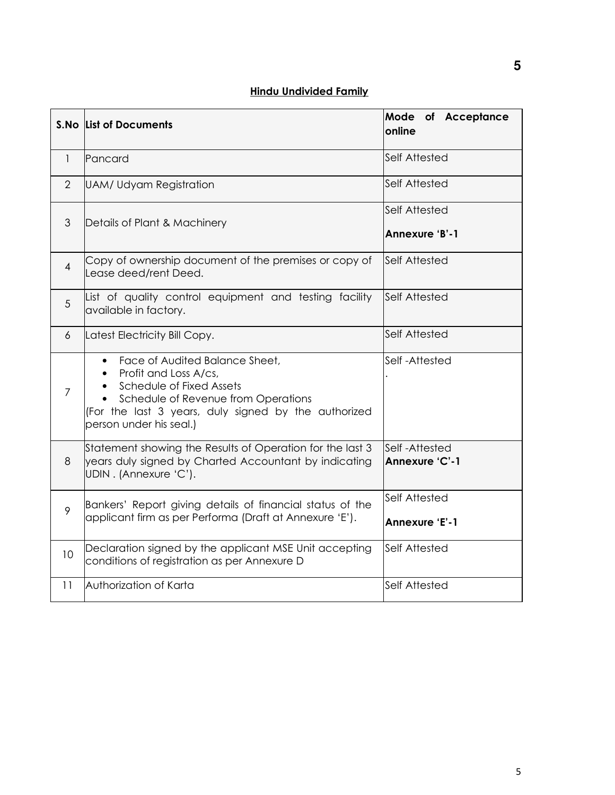|                | S.No List of Documents                                                                                                                                                                                        | Mode of Acceptance<br>online    |  |
|----------------|---------------------------------------------------------------------------------------------------------------------------------------------------------------------------------------------------------------|---------------------------------|--|
| $\mathbf{1}$   | Pancard                                                                                                                                                                                                       | Self Attested                   |  |
| $\overline{2}$ | UAM/ Udyam Registration                                                                                                                                                                                       | Self Attested                   |  |
| 3              | Details of Plant & Machinery                                                                                                                                                                                  | Self Attested<br>Annexure 'B'-1 |  |
| 4              | Copy of ownership document of the premises or copy of<br>Lease deed/rent Deed.                                                                                                                                | <b>Self Attested</b>            |  |
| 5              | List of quality control equipment and testing facility<br>available in factory.                                                                                                                               | <b>Self Attested</b>            |  |
| 6              | Latest Electricity Bill Copy.                                                                                                                                                                                 | Self Attested                   |  |
| $\overline{7}$ | Face of Audited Balance Sheet,<br>Profit and Loss A/cs,<br>Schedule of Fixed Assets<br>Schedule of Revenue from Operations<br>(For the last 3 years, duly signed by the authorized<br>person under his seal.) | Self-Attested                   |  |
| 8              | Statement showing the Results of Operation for the last 3<br>years duly signed by Charted Accountant by indicating<br>UDIN. (Annexure 'C').                                                                   | Self-Attested<br>Annexure 'C'-1 |  |
| 9              | Bankers' Report giving details of financial status of the<br>applicant firm as per Performa (Draft at Annexure 'E').                                                                                          | Self Attested<br>Annexure 'E'-1 |  |
| 10             | Declaration signed by the applicant MSE Unit accepting<br>conditions of registration as per Annexure D                                                                                                        | Self Attested                   |  |
| 11             | Authorization of Karta                                                                                                                                                                                        | Self Attested                   |  |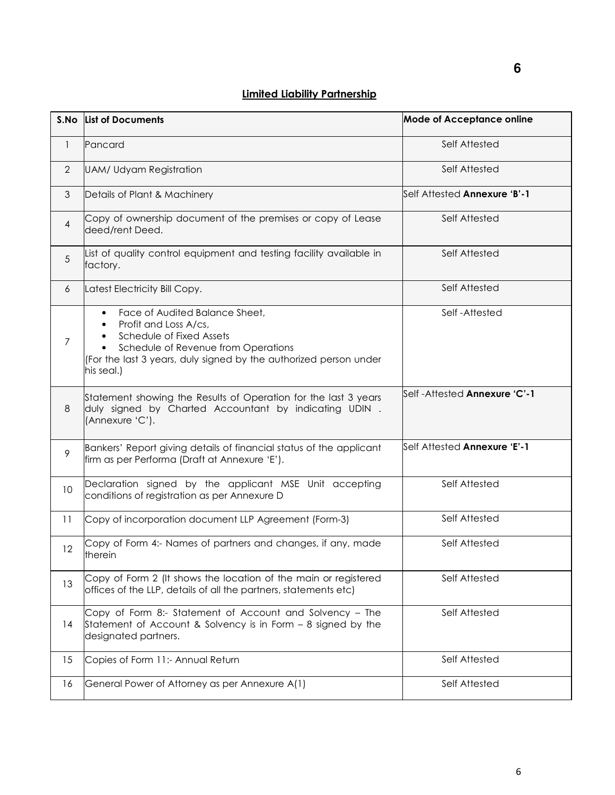## **Limited Liability Partnership**

|                | S.No List of Documents                                                                                                                                                                                                                               | <b>Mode of Acceptance online</b> |
|----------------|------------------------------------------------------------------------------------------------------------------------------------------------------------------------------------------------------------------------------------------------------|----------------------------------|
| $\mathbf{1}$   | Pancard                                                                                                                                                                                                                                              | Self Attested                    |
| $\overline{2}$ | <b>UAM/ Udyam Registration</b>                                                                                                                                                                                                                       | Self Attested                    |
| 3              | Details of Plant & Machinery                                                                                                                                                                                                                         | Self Attested Annexure 'B'-1     |
| $\overline{4}$ | Copy of ownership document of the premises or copy of Lease<br>deed/rent Deed.                                                                                                                                                                       | Self Attested                    |
| 5              | List of quality control equipment and testing facility available in<br>factory.                                                                                                                                                                      | Self Attested                    |
| 6              | Latest Electricity Bill Copy.                                                                                                                                                                                                                        | Self Attested                    |
| $\overline{7}$ | Face of Audited Balance Sheet,<br>$\bullet$<br>Profit and Loss A/cs,<br>$\bullet$<br>Schedule of Fixed Assets<br>$\bullet$<br>Schedule of Revenue from Operations<br>(For the last 3 years, duly signed by the authorized person under<br>his seal.) | Self-Attested                    |
| 8              | Self-Attested <b>Annexure 'C'-1</b><br>Statement showing the Results of Operation for the last 3 years<br>duly signed by Charted Accountant by indicating UDIN.<br>(Annexure 'C').                                                                   |                                  |
| 9              | Bankers' Report giving details of financial status of the applicant<br>firm as per Performa (Draft at Annexure 'E').                                                                                                                                 | Self Attested Annexure 'E'-1     |
| 10             | Declaration signed by the applicant MSE Unit accepting<br>Self Attested<br>conditions of registration as per Annexure D                                                                                                                              |                                  |
| 11             | Copy of incorporation document LLP Agreement (Form-3)                                                                                                                                                                                                | Self Attested                    |
| 12             | Copy of Form 4:- Names of partners and changes, if any, made<br>therein                                                                                                                                                                              | Self Attested                    |
| 13             | Copy of Form 2 (It shows the location of the main or registered<br>offices of the LLP, details of all the partners, statements etc)                                                                                                                  | Self Attested                    |
| 14             | Copy of Form 8:- Statement of Account and Solvency - The<br>Statement of Account & Solvency is in Form – 8 signed by the<br>designated partners.                                                                                                     | Self Attested                    |
| 15             | Copies of Form 11:- Annual Return                                                                                                                                                                                                                    | Self Attested                    |
| 16             | General Power of Attorney as per Annexure A(1)                                                                                                                                                                                                       | Self Attested                    |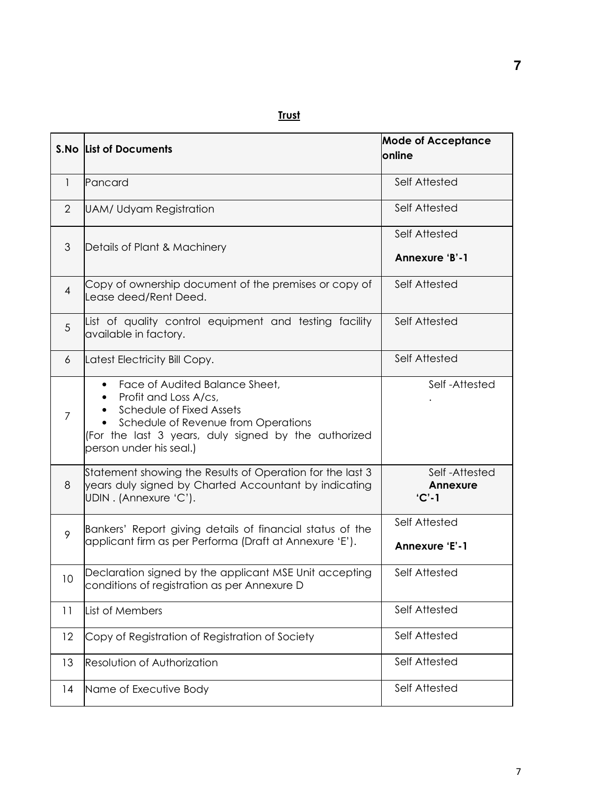# **Trust**

|                | <b>S.No List of Documents</b>                                                                                                                                                                                 | <b>Mode of Acceptance</b><br><b>lonline</b> |
|----------------|---------------------------------------------------------------------------------------------------------------------------------------------------------------------------------------------------------------|---------------------------------------------|
| $\mathbf{1}$   | Pancard                                                                                                                                                                                                       | Self Attested                               |
| $\overline{2}$ | <b>UAM/ Udyam Registration</b>                                                                                                                                                                                | Self Attested                               |
| 3              | Details of Plant & Machinery                                                                                                                                                                                  | Self Attested<br>Annexure 'B'-1             |
| $\overline{4}$ | Copy of ownership document of the premises or copy of<br>Lease deed/Rent Deed.                                                                                                                                | Self Attested                               |
| 5              | List of quality control equipment and testing facility<br>available in factory.                                                                                                                               | Self Attested                               |
| 6              | Latest Electricity Bill Copy.                                                                                                                                                                                 | Self Attested                               |
| $\overline{7}$ | Face of Audited Balance Sheet,<br>Profit and Loss A/cs,<br>Schedule of Fixed Assets<br>Schedule of Revenue from Operations<br>(For the last 3 years, duly signed by the authorized<br>person under his seal.) | Self-Attested                               |
| 8              | Statement showing the Results of Operation for the last 3<br>years duly signed by Charted Accountant by indicating<br>UDIN. (Annexure 'C').                                                                   | Self-Attested<br><b>Annexure</b><br>$'C'-1$ |
| 9              | Bankers' Report giving details of financial status of the<br>applicant firm as per Performa (Draft at Annexure 'E').                                                                                          | Self Attested<br>Annexure 'E'-1             |
| 10             | Declaration signed by the applicant MSE Unit accepting<br>conditions of registration as per Annexure D                                                                                                        | Self Attested                               |
| 11             | List of Members                                                                                                                                                                                               | Self Attested                               |
| 12             | Copy of Registration of Registration of Society                                                                                                                                                               | Self Attested                               |
| 13             | Resolution of Authorization                                                                                                                                                                                   | Self Attested                               |
| 14             | Name of Executive Body                                                                                                                                                                                        | Self Attested                               |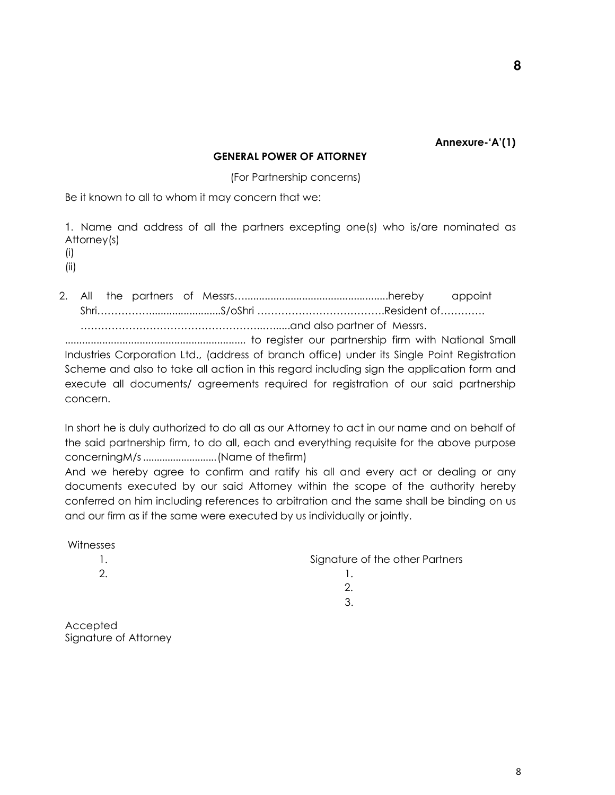**Annexure-'A'(1)** 

**8** 

### **GENERAL POWER OF ATTORNEY**

(For Partnership concerns)

Be it known to all to whom it may concern that we:

1. Name and address of all the partners excepting one(s) who is/are nominated as Attorney(s)

(i)

(ii)

Signature of Attorney

2. All the partners of Messrs…..................................................hereby appoint Shri…………….........................S/oShri ……………………………….Resident of…………. ……………………………………………..…......and also partner of Messrs.

............................................................... to register our partnership firm with National Small Industries Corporation Ltd., (address of branch office) under its Single Point Registration Scheme and also to take all action in this regard including sign the application form and execute all documents/ agreements required for registration of our said partnership concern.

In short he is duly authorized to do all as our Attorney to act in our name and on behalf of the said partnership firm, to do all, each and everything requisite for the above purpose concerningM/s ........................... (Name of thefirm)

And we hereby agree to confirm and ratify his all and every act or dealing or any documents executed by our said Attorney within the scope of the authority hereby conferred on him including references to arbitration and the same shall be binding on us and our firm as if the same were executed by us individually or jointly.

| Witnesses |                                 |
|-----------|---------------------------------|
|           | Signature of the other Partners |
| 2.        |                                 |
|           | 2.                              |
|           | 3.                              |
| Accepted  |                                 |

8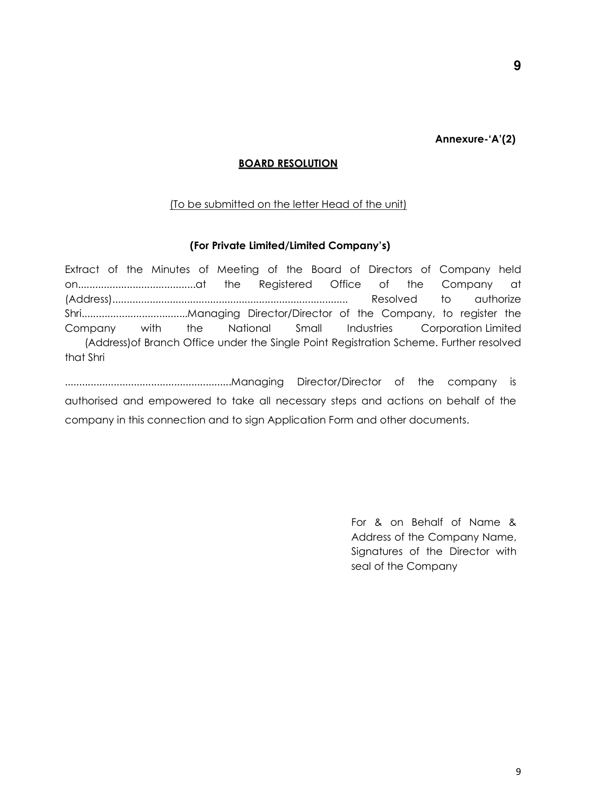**Annexure-'A'(2)** 

### **BOARD RESOLUTION**

### (To be submitted on the letter Head of the unit)

### **(For Private Limited/Limited Company's)**

Extract of the Minutes of Meeting of the Board of Directors of Company held on.........................................at the Registered Office of the Company at (Address).................................................................................. Resolved to authorize Shri.....................................Managing Director/Director of the Company, to register the Company with the National Small Industries Corporation Limited (Address)of Branch Office under the Single Point Registration Scheme. Further resolved that Shri

..........................................................Managing Director/Director of the company is authorised and empowered to take all necessary steps and actions on behalf of the company in this connection and to sign Application Form and other documents.

> For & on Behalf of Name & Address of the Company Name, Signatures of the Director with seal of the Company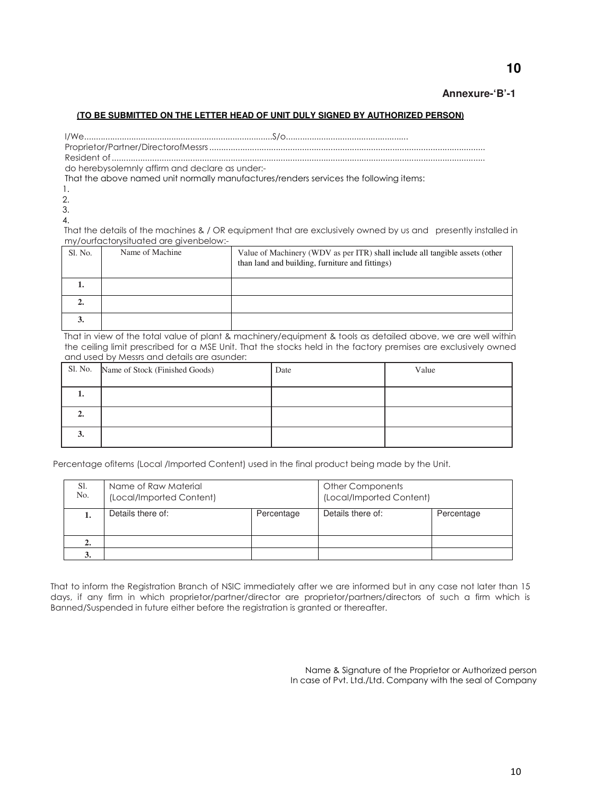### **Annexure-'B'-1**

#### **(TO BE SUBMITTED ON THE LETTER HEAD OF UNIT DULY SIGNED BY AUTHORIZED PERSON)**

I/We................................................................................S/o.................................................... Proprietor/Partner/DirectorofMessrs .................................................................................................................... Resident of .............................................................................................................................................................

do herebysolemnly affirm and declare as under:-

That the above named unit normally manufactures/renders services the following items:

1.

 2. 3.

4.

That the details of the machines & / OR equipment that are exclusively owned by us and presently installed in my/ourfactorysituated are givenbelow:-

| Sl. No. | Name of Machine | Value of Machinery (WDV as per ITR) shall include all tangible assets (other<br>than land and building, furniture and fittings) |
|---------|-----------------|---------------------------------------------------------------------------------------------------------------------------------|
| ı.      |                 |                                                                                                                                 |
| ∸∙      |                 |                                                                                                                                 |
| J.      |                 |                                                                                                                                 |

That in view of the total value of plant & machinery/equipment & tools as detailed above, we are well within the ceiling limit prescribed for a MSE Unit. That the stocks held in the factory premises are exclusively owned and used by Messrs and details are asunder:

|    | Sl. No. Name of Stock (Finished Goods) | Date | Value |
|----|----------------------------------------|------|-------|
| ı. |                                        |      |       |
|    |                                        |      |       |
| э. |                                        |      |       |

Percentage ofitems (Local /Imported Content) used in the final product being made by the Unit.

| S1.<br>No. | Name of Raw Material<br>(Local/Imported Content) |            | Other Components<br>(Local/Imported Content) |            |
|------------|--------------------------------------------------|------------|----------------------------------------------|------------|
|            | Details there of:                                | Percentage | Details there of:                            | Percentage |
| 2.         |                                                  |            |                                              |            |
|            |                                                  |            |                                              |            |

That to inform the Registration Branch of NSIC immediately after we are informed but in any case not later than 15 days, if any firm in which proprietor/partner/director are proprietor/partners/directors of such a firm which is Banned/Suspended in future either before the registration is granted or thereafter.

> Name & Signature of the Proprietor or Authorized person In case of Pvt. Ltd./Ltd. Company with the seal of Company

# **10**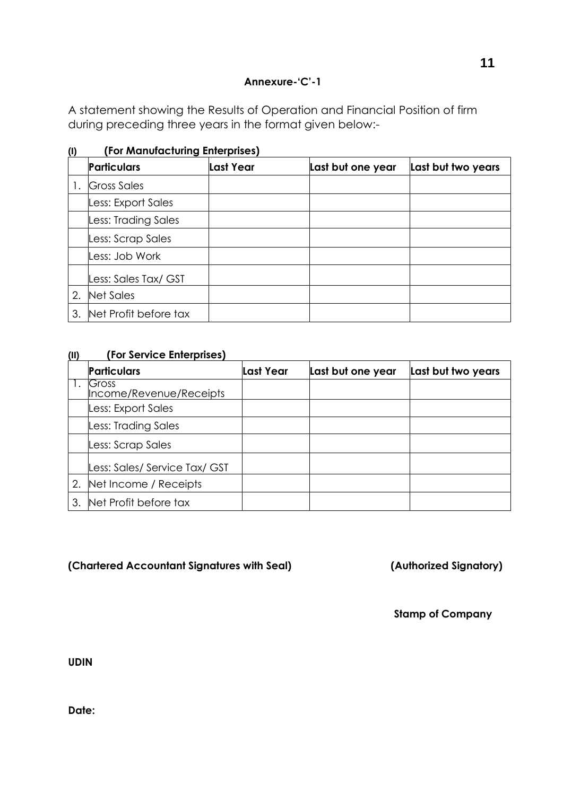# **Annexure-'C'-1**

A statement showing the Results of Operation and Financial Position of firm during preceding three years in the format given below:-

| w  | (TOI MUNDICTURITY ENTERPOSES) |           |                   |                    |  |
|----|-------------------------------|-----------|-------------------|--------------------|--|
|    | <b>Particulars</b>            | Last Year | Last but one year | Last but two years |  |
|    | <b>Gross Sales</b>            |           |                   |                    |  |
|    | Less: Export Sales            |           |                   |                    |  |
|    | Less: Trading Sales           |           |                   |                    |  |
|    | Less: Scrap Sales             |           |                   |                    |  |
|    | Less: Job Work                |           |                   |                    |  |
|    | Less: Sales Tax/ GST          |           |                   |                    |  |
| 2. | Net Sales                     |           |                   |                    |  |
| 3. | Net Profit before tax         |           |                   |                    |  |

**(I) (For Manufacturing Enterprises)**

# **(II) (For Service Enterprises)**

|    | <b>Particulars</b>               | Last Year | Last but one year | Last but two years |
|----|----------------------------------|-----------|-------------------|--------------------|
|    | Gross<br>Income/Revenue/Receipts |           |                   |                    |
|    | Less: Export Sales               |           |                   |                    |
|    | Less: Trading Sales              |           |                   |                    |
|    | Less: Scrap Sales                |           |                   |                    |
|    | Less: Sales/ Service Tax/ GST    |           |                   |                    |
| 2. | Net Income / Receipts            |           |                   |                    |
| З. | Net Profit before tax            |           |                   |                    |

**(Chartered Accountant Signatures with Seal) (Authorized Signatory)** 

**Stamp of Company**

**UDIN**

**Date:**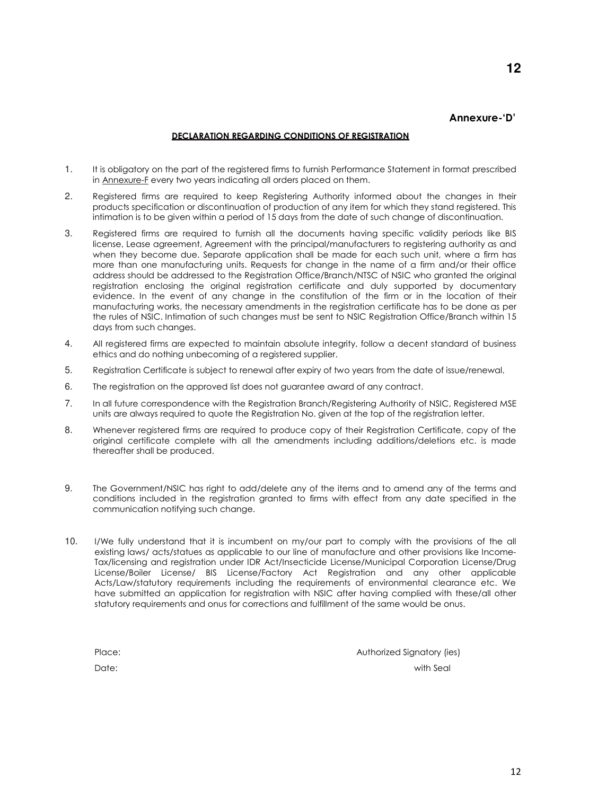### **Annexure-'D'**

**12** 

#### **DECLARATION REGARDING CONDITIONS OF REGISTRATION**

- 1. It is obligatory on the part of the registered firms to furnish Performance Statement in format prescribed in Annexure-F every two years indicating all orders placed on them.
- 2. Registered firms are required to keep Registering Authority informed about the changes in their products specification or discontinuation of production of any item for which they stand registered. This intimation is to be given within a period of 15 days from the date of such change of discontinuation.
- 3. Registered firms are required to furnish all the documents having specific validity periods like BIS license, Lease agreement, Agreement with the principal/manufacturers to registering authority as and when they become due. Separate application shall be made for each such unit, where a firm has more than one manufacturing units. Requests for change in the name of a firm and/or their office address should be addressed to the Registration Office/Branch/NTSC of NSIC who granted the original registration enclosing the original registration certificate and duly supported by documentary evidence. In the event of any change in the constitution of the firm or in the location of their manufacturing works, the necessary amendments in the registration certificate has to be done as per the rules of NSIC. Intimation of such changes must be sent to NSIC Registration Office/Branch within 15 days from such changes.
- 4. All registered firms are expected to maintain absolute integrity, follow a decent standard of business ethics and do nothing unbecoming of a registered supplier.
- 5. Registration Certificate is subject to renewal after expiry of two years from the date of issue/renewal.
- 6. The registration on the approved list does not guarantee award of any contract.
- 7. In all future correspondence with the Registration Branch/Registering Authority of NSIC, Registered MSE units are always required to quote the Registration No. given at the top of the registration letter.
- 8. Whenever registered firms are required to produce copy of their Registration Certificate, copy of the original certificate complete with all the amendments including additions/deletions etc. is made thereafter shall be produced.
- 9. The Government/NSIC has right to add/delete any of the items and to amend any of the terms and conditions included in the registration granted to firms with effect from any date specified in the communication notifying such change.
- 10. I/We fully understand that it is incumbent on my/our part to comply with the provisions of the all existing laws/ acts/statues as applicable to our line of manufacture and other provisions like Income-Tax/licensing and registration under IDR Act/Insecticide License/Municipal Corporation License/Drug License/Boiler License/ BIS License/Factory Act Registration and any other applicable Acts/Law/statutory requirements including the requirements of environmental clearance etc. We have submitted an application for registration with NSIC after having complied with these/all other statutory requirements and onus for corrections and fulfillment of the same would be onus.

Place: Authorized Signatory (ies)

Date: with Seal and Seal and Seal and Seal and Seal and Seal and Seal and Seal and Seal and Seal and Seal and Seal and Seal and Seal and Seal and Seal and Seal and Seal and Seal and Seal and Seal and Seal and Seal and Seal